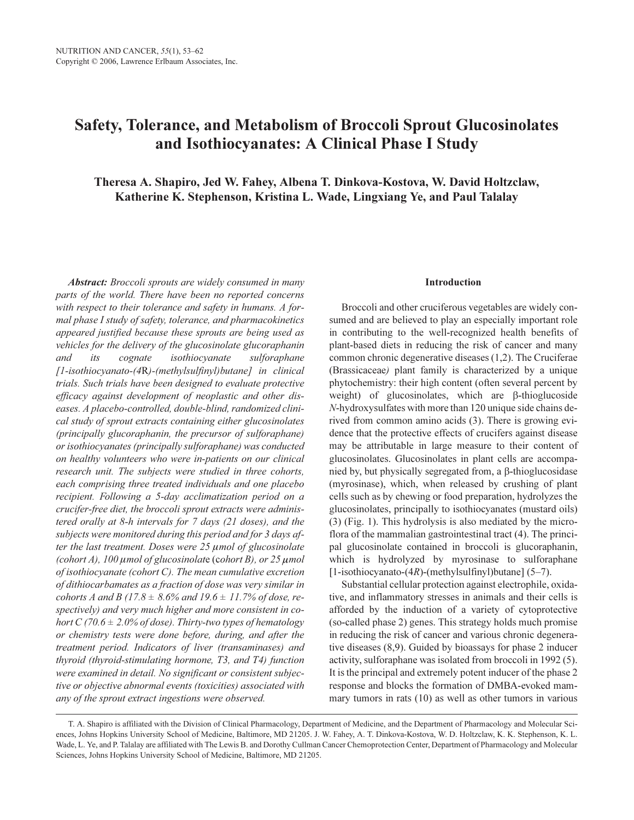# Safety, Tolerance, and Metabolism of Broccoli Sprout Glucosinolates and Isothiocyanates: A Clinical Phase I Study

Theresa A. Shapiro, Jed W. Fahey, Albena T. Dinkova-Kostova, W. David Holtzclaw, Katherine K. Stephenson, Kristina L. Wade, Lingxiang Ye, and Paul Talalay

Abstract: Broccoli sprouts are widely consumed in many parts of the world. There have been no reported concerns with respect to their tolerance and safety in humans. A formal phase I study of safety, tolerance, and pharmacokinetics appeared justified because these sprouts are being used as vehicles for the delivery of the glucosinolate glucoraphanin and its cognate isothiocyanate sulforaphane [1-isothiocyanato-(4R)-(methylsulfinyl)butane] in clinical trials. Such trials have been designed to evaluate protective efficacy against development of neoplastic and other diseases. A placebo-controlled, double-blind, randomized clinical study of sprout extracts containing either glucosinolates (principally glucoraphanin, the precursor of sulforaphane) or isothiocyanates (principally sulforaphane) was conducted on healthy volunteers who were in-patients on our clinical research unit. The subjects were studied in three cohorts, each comprising three treated individuals and one placebo recipient. Following a 5-day acclimatization period on a crucifer-free diet, the broccoli sprout extracts were administered orally at 8-h intervals for 7 days (21 doses), and the subjects were monitored during this period and for 3 days after the last treatment. Doses were  $25 \mu$ mol of glucosinolate (cohort A),  $100 \mu$  mol of glucosinolate (cohort B), or  $25 \mu$  mol of isothiocyanate (cohort C). The mean cumulative excretion of dithiocarbamates as a fraction of dose was very similar in cohorts A and B (17.8  $\pm$  8.6% and 19.6  $\pm$  11.7% of dose, respectively) and very much higher and more consistent in cohort C (70.6  $\pm$  2.0% of dose). Thirty-two types of hematology or chemistry tests were done before, during, and after the treatment period. Indicators of liver (transaminases) and thyroid (thyroid-stimulating hormone, T3, and T4) function were examined in detail. No significant or consistent subjective or objective abnormal events (toxicities) associated with any of the sprout extract ingestions were observed.

### Introduction

Broccoli and other cruciferous vegetables are widely consumed and are believed to play an especially important role in contributing to the well-recognized health benefits of plant-based diets in reducing the risk of cancer and many common chronic degenerative diseases (1,2). The Cruciferae (Brassicaceae) plant family is characterized by a unique phytochemistry: their high content (often several percent by weight) of glucosinolates, which are β-thioglucoside N-hydroxysulfates with more than 120 unique side chains derived from common amino acids (3). There is growing evidence that the protective effects of crucifers against disease may be attributable in large measure to their content of glucosinolates. Glucosinolates in plant cells are accompanied by, but physically segregated from, a β-thioglucosidase (myrosinase), which, when released by crushing of plant cells such as by chewing or food preparation, hydrolyzes the glucosinolates, principally to isothiocyanates (mustard oils) (3) (Fig. 1). This hydrolysis is also mediated by the microflora of the mammalian gastrointestinal tract (4). The principal glucosinolate contained in broccoli is glucoraphanin, which is hydrolyzed by myrosinase to sulforaphane [1-isothiocyanato-(4R)-(methylsulfinyl)butane] (5–7).

Substantial cellular protection against electrophile, oxidative, and inflammatory stresses in animals and their cells is afforded by the induction of a variety of cytoprotective (so-called phase 2) genes. This strategy holds much promise in reducing the risk of cancer and various chronic degenerative diseases (8,9). Guided by bioassays for phase 2 inducer activity, sulforaphane was isolated from broccoli in 1992 (5). It is the principal and extremely potent inducer of the phase 2 response and blocks the formation of DMBA-evoked mammary tumors in rats (10) as well as other tumors in various

T. A. Shapiro is affiliated with the Division of Clinical Pharmacology, Department of Medicine, and the Department of Pharmacology and Molecular Sciences, Johns Hopkins University School of Medicine, Baltimore, MD 21205. J. W. Fahey, A. T. Dinkova-Kostova, W. D. Holtzclaw, K. K. Stephenson, K. L. Wade, L. Ye, and P. Talalay are affiliated with The Lewis B. and Dorothy Cullman Cancer Chemoprotection Center, Department of Pharmacology and Molecular Sciences, Johns Hopkins University School of Medicine, Baltimore, MD 21205.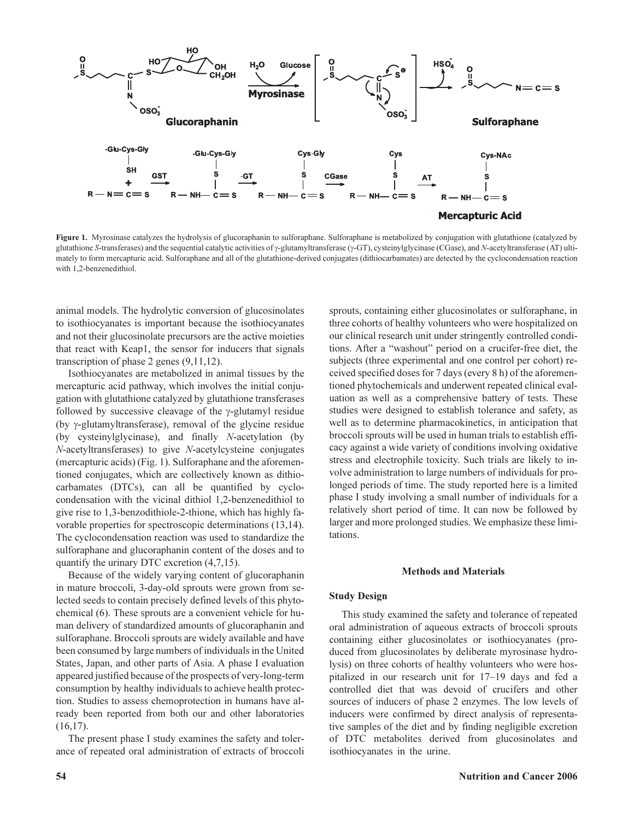

Figure 1. Myrosinase catalyzes the hydrolysis of glucoraphanin to sulforaphane. Sulforaphane is metabolized by conjugation with glutathione (catalyzed by glutathione S-transferases) and the sequential catalytic activities of γ-glutamyltransferase (γ-GT), cysteinylglycinase (CGase), and N-acetyltransferase (AT) ultimately to form mercapturic acid. Sulforaphane and all of the glutathione-derived conjugates (dithiocarbamates) are detected by the cyclocondensation reaction with 1,2-benzenedithiol.

animal models. The hydrolytic conversion of glucosinolates to isothiocyanates is important because the isothiocyanates and not their glucosinolate precursors are the active moieties that react with Keap1, the sensor for inducers that signals transcription of phase 2 genes (9,11,12).

Isothiocyanates are metabolized in animal tissues by the mercapturic acid pathway, which involves the initial conjugation with glutathione catalyzed by glutathione transferases followed by successive cleavage of the γ-glutamyl residue (by γ-glutamyltransferase), removal of the glycine residue (by cysteinylglycinase), and finally N-acetylation (by N-acetyltransferases) to give N-acetylcysteine conjugates (mercapturic acids) (Fig. 1). Sulforaphane and the aforementioned conjugates, which are collectively known as dithiocarbamates (DTCs), can all be quantified by cyclocondensation with the vicinal dithiol 1,2-benzenedithiol to give rise to 1,3-benzodithiole-2-thione, which has highly favorable properties for spectroscopic determinations (13,14). The cyclocondensation reaction was used to standardize the sulforaphane and glucoraphanin content of the doses and to quantify the urinary DTC excretion (4,7,15).

Because of the widely varying content of glucoraphanin in mature broccoli, 3-day-old sprouts were grown from selected seeds to contain precisely defined levels of this phytochemical (6). These sprouts are a convenient vehicle for human delivery of standardized amounts of glucoraphanin and sulforaphane. Broccoli sprouts are widely available and have been consumed by large numbers of individuals in the United States, Japan, and other parts of Asia. A phase I evaluation appeared justified because of the prospects of very-long-term consumption by healthy individuals to achieve health protection. Studies to assess chemoprotection in humans have already been reported from both our and other laboratories (16,17).

The present phase I study examines the safety and tolerance of repeated oral administration of extracts of broccoli sprouts, containing either glucosinolates or sulforaphane, in three cohorts of healthy volunteers who were hospitalized on our clinical research unit under stringently controlled conditions. After a "washout" period on a crucifer-free diet, the subjects (three experimental and one control per cohort) received specified doses for 7 days (every 8 h) of the aforementioned phytochemicals and underwent repeated clinical evaluation as well as a comprehensive battery of tests. These studies were designed to establish tolerance and safety, as well as to determine pharmacokinetics, in anticipation that broccoli sprouts will be used in human trials to establish efficacy against a wide variety of conditions involving oxidative stress and electrophile toxicity. Such trials are likely to involve administration to large numbers of individuals for prolonged periods of time. The study reported here is a limited phase I study involving a small number of individuals for a relatively short period of time. It can now be followed by larger and more prolonged studies. We emphasize these limitations.

#### Methods and Materials

### Study Design

This study examined the safety and tolerance of repeated oral administration of aqueous extracts of broccoli sprouts containing either glucosinolates or isothiocyanates (produced from glucosinolates by deliberate myrosinase hydrolysis) on three cohorts of healthy volunteers who were hospitalized in our research unit for 17–19 days and fed a controlled diet that was devoid of crucifers and other sources of inducers of phase 2 enzymes. The low levels of inducers were confirmed by direct analysis of representative samples of the diet and by finding negligible excretion of DTC metabolites derived from glucosinolates and isothiocyanates in the urine.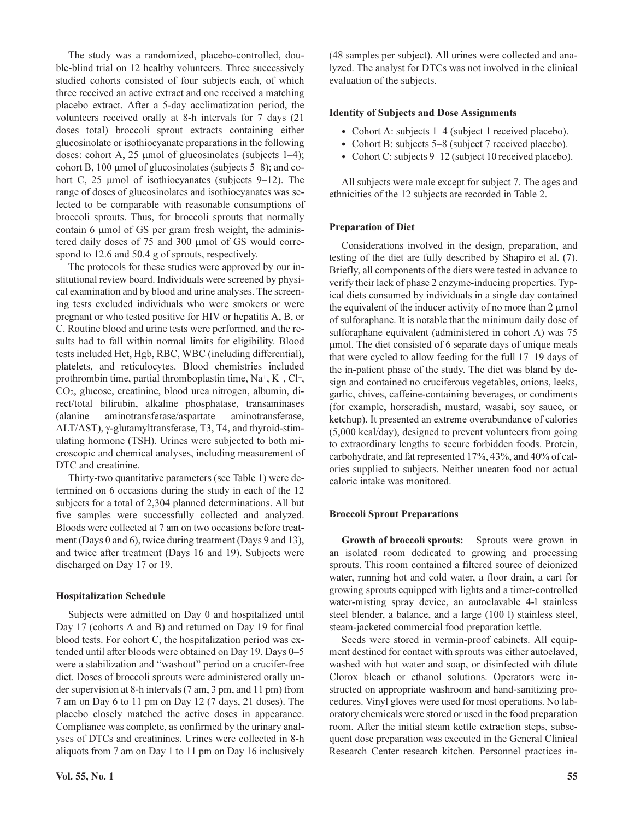The study was a randomized, placebo-controlled, double-blind trial on 12 healthy volunteers. Three successively studied cohorts consisted of four subjects each, of which three received an active extract and one received a matching placebo extract. After a 5-day acclimatization period, the volunteers received orally at 8-h intervals for 7 days (21 doses total) broccoli sprout extracts containing either glucosinolate or isothiocyanate preparations in the following doses: cohort A, 25  $\mu$ mol of glucosinolates (subjects 1–4); cohort B, 100 µmol of glucosinolates (subjects 5–8); and cohort C, 25 µmol of isothiocyanates (subjects 9–12). The range of doses of glucosinolates and isothiocyanates was selected to be comparable with reasonable consumptions of broccoli sprouts. Thus, for broccoli sprouts that normally contain 6 µmol of GS per gram fresh weight, the administered daily doses of 75 and 300 µmol of GS would correspond to 12.6 and 50.4 g of sprouts, respectively.

The protocols for these studies were approved by our institutional review board. Individuals were screened by physical examination and by blood and urine analyses. The screening tests excluded individuals who were smokers or were pregnant or who tested positive for HIV or hepatitis A, B, or C. Routine blood and urine tests were performed, and the results had to fall within normal limits for eligibility. Blood tests included Hct, Hgb, RBC, WBC (including differential), platelets, and reticulocytes. Blood chemistries included prothrombin time, partial thromboplastin time,  $Na^+$ ,  $K^+$ ,  $Cl^-$ , CO2, glucose, creatinine, blood urea nitrogen, albumin, direct/total bilirubin, alkaline phosphatase, transaminases (alanine aminotransferase/aspartate aminotransferase, ALT/AST), γ-glutamyltransferase, T3, T4, and thyroid-stimulating hormone (TSH). Urines were subjected to both microscopic and chemical analyses, including measurement of DTC and creatinine.

Thirty-two quantitative parameters (see Table 1) were determined on 6 occasions during the study in each of the 12 subjects for a total of 2,304 planned determinations. All but five samples were successfully collected and analyzed. Bloods were collected at 7 am on two occasions before treatment (Days 0 and 6), twice during treatment (Days 9 and 13), and twice after treatment (Days 16 and 19). Subjects were discharged on Day 17 or 19.

# Hospitalization Schedule

Subjects were admitted on Day 0 and hospitalized until Day 17 (cohorts A and B) and returned on Day 19 for final blood tests. For cohort C, the hospitalization period was extended until after bloods were obtained on Day 19. Days 0–5 were a stabilization and "washout" period on a crucifer-free diet. Doses of broccoli sprouts were administered orally under supervision at 8-h intervals (7 am, 3 pm, and 11 pm) from 7 am on Day 6 to 11 pm on Day 12 (7 days, 21 doses). The placebo closely matched the active doses in appearance. Compliance was complete, as confirmed by the urinary analyses of DTCs and creatinines. Urines were collected in 8-h aliquots from 7 am on Day 1 to 11 pm on Day 16 inclusively

(48 samples per subject). All urines were collected and analyzed. The analyst for DTCs was not involved in the clinical evaluation of the subjects.

## Identity of Subjects and Dose Assignments

- Cohort A: subjects 1–4 (subject 1 received placebo).
- Cohort B: subjects 5–8 (subject 7 received placebo).
- Cohort C: subjects 9–12 (subject 10 received placebo).

All subjects were male except for subject 7. The ages and ethnicities of the 12 subjects are recorded in Table 2.

### Preparation of Diet

Considerations involved in the design, preparation, and testing of the diet are fully described by Shapiro et al. (7). Briefly, all components of the diets were tested in advance to verify their lack of phase 2 enzyme-inducing properties. Typical diets consumed by individuals in a single day contained the equivalent of the inducer activity of no more than 2 µmol of sulforaphane. It is notable that the minimum daily dose of sulforaphane equivalent (administered in cohort A) was 75 µmol. The diet consisted of 6 separate days of unique meals that were cycled to allow feeding for the full 17–19 days of the in-patient phase of the study. The diet was bland by design and contained no cruciferous vegetables, onions, leeks, garlic, chives, caffeine-containing beverages, or condiments (for example, horseradish, mustard, wasabi, soy sauce, or ketchup). It presented an extreme overabundance of calories (5,000 kcal/day), designed to prevent volunteers from going to extraordinary lengths to secure forbidden foods. Protein, carbohydrate, and fat represented 17%, 43%, and 40% of calories supplied to subjects. Neither uneaten food nor actual caloric intake was monitored.

### Broccoli Sprout Preparations

Growth of broccoli sprouts: Sprouts were grown in an isolated room dedicated to growing and processing sprouts. This room contained a filtered source of deionized water, running hot and cold water, a floor drain, a cart for growing sprouts equipped with lights and a timer-controlled water-misting spray device, an autoclavable 4-l stainless steel blender, a balance, and a large (100 l) stainless steel, steam-jacketed commercial food preparation kettle.

Seeds were stored in vermin-proof cabinets. All equipment destined for contact with sprouts was either autoclaved, washed with hot water and soap, or disinfected with dilute Clorox bleach or ethanol solutions. Operators were instructed on appropriate washroom and hand-sanitizing procedures. Vinyl gloves were used for most operations. No laboratory chemicals were stored or used in the food preparation room. After the initial steam kettle extraction steps, subsequent dose preparation was executed in the General Clinical Research Center research kitchen. Personnel practices in-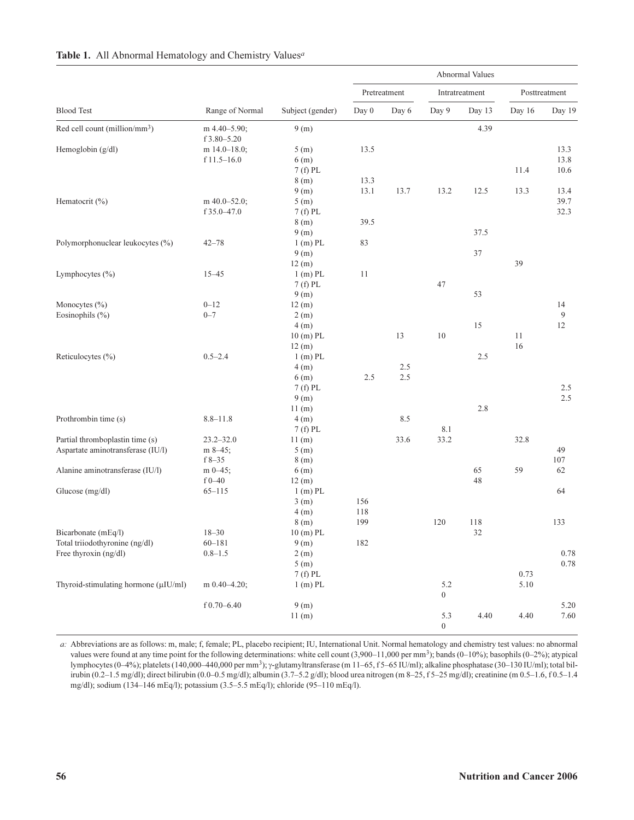|                                           |                             | Subject (gender)   | Abnormal Values |       |                  |          |               |          |  |
|-------------------------------------------|-----------------------------|--------------------|-----------------|-------|------------------|----------|---------------|----------|--|
|                                           |                             |                    | Pretreatment    |       | Intratreatment   |          | Posttreatment |          |  |
| <b>Blood Test</b>                         | Range of Normal             |                    | Day 0           | Day 6 | Day 9            | Day 13   | Day 16        | Day 19   |  |
| Red cell count (million/mm <sup>3</sup> ) | m 4.40-5.90;<br>f 3.80-5.20 | 9(m)               |                 |       |                  | 4.39     |               |          |  |
| Hemoglobin (g/dl)                         | m $14.0 - 18.0$ ;           | 5(m)               | 13.5            |       |                  |          |               | 13.3     |  |
|                                           | $f$ 11.5-16.0               | 6(m)               |                 |       |                  |          |               | 13.8     |  |
|                                           |                             | 7 (f) PL           |                 |       |                  |          | 11.4          | 10.6     |  |
|                                           |                             | 8(m)               | 13.3            |       |                  |          |               |          |  |
|                                           |                             | 9(m)               | 13.1            | 13.7  | 13.2             | 12.5     | 13.3          | 13.4     |  |
| Hematocrit (%)                            | m 40.0-52.0;                | 5(m)               |                 |       |                  |          |               | 39.7     |  |
|                                           | f 35.0-47.0                 | $7(f)$ PL          |                 |       |                  |          |               | 32.3     |  |
|                                           |                             | 8(m)               | 39.5            |       |                  |          |               |          |  |
|                                           |                             | 9(m)               |                 |       |                  | 37.5     |               |          |  |
| Polymorphonuclear leukocytes (%)          | $42 - 78$                   | $1(m)$ PL          | 83              |       |                  | 37       |               |          |  |
|                                           |                             | 9(m)<br>12(m)      |                 |       |                  |          | 39            |          |  |
| Lymphocytes (%)                           | $15 - 45$                   | $1(m)$ PL          | 11              |       |                  |          |               |          |  |
|                                           |                             | $7(f)$ PL          |                 |       | 47               |          |               |          |  |
|                                           |                             | 9(m)               |                 |       |                  | 53       |               |          |  |
| Monocytes (%)                             | $0 - 12$                    | 12(m)              |                 |       |                  |          |               | 14       |  |
| Eosinophils (%)                           | $0 - 7$                     | 2(m)               |                 |       |                  |          |               | 9        |  |
|                                           |                             | 4(m)               |                 |       |                  | 15       |               | 12       |  |
|                                           |                             | 10 (m) PL          |                 | 13    | 10               |          | 11            |          |  |
|                                           |                             | 12(m)              |                 |       |                  |          | 16            |          |  |
| Reticulocytes (%)                         | $0.5 - 2.4$                 | $1(m)$ PL          |                 |       |                  | 2.5      |               |          |  |
|                                           |                             | 4(m)               |                 | 2.5   |                  |          |               |          |  |
|                                           |                             | 6(m)               | 2.5             | 2.5   |                  |          |               |          |  |
|                                           |                             | $7(f)$ PL          |                 |       |                  |          |               | 2.5      |  |
|                                           |                             | 9(m)               |                 |       |                  |          |               | 2.5      |  |
|                                           |                             | 11(m)              |                 |       |                  | 2.8      |               |          |  |
| Prothrombin time (s)                      | $8.8 - 11.8$                | 4(m)               |                 | 8.5   |                  |          |               |          |  |
|                                           |                             | $7(f)$ PL          |                 |       | 8.1              |          |               |          |  |
| Partial thromboplastin time (s)           | $23.2 - 32.0$               | 11(m)              |                 | 33.6  | 33.2             |          | 32.8          |          |  |
| Aspartate aminotransferase (IU/l)         | m 8-45;                     | 5(m)               |                 |       |                  |          |               | 49       |  |
|                                           | $f8 - 35$                   | 8(m)               |                 |       |                  |          |               | 107      |  |
| Alanine aminotransferase (IU/l)           | $m 0-45$ ;<br>$f0 - 40$     | 6(m)               |                 |       |                  | 65<br>48 | 59            | 62       |  |
| Glucose (mg/dl)                           | $65 - 115$                  | 12(m)<br>$1(m)$ PL |                 |       |                  |          |               | 64       |  |
|                                           |                             | 3(m)               | 156             |       |                  |          |               |          |  |
|                                           |                             | 4(m)               | 118             |       |                  |          |               |          |  |
|                                           |                             | 8(m)               | 199             |       | 120              | 118      |               | 133      |  |
| Bicarbonate (mEq/l)                       | $18 - 30$                   | 10 (m) PL          |                 |       |                  | 32       |               |          |  |
| Total triiodothyronine (ng/dl)            | $60 - 181$                  | 9(m)               | 182             |       |                  |          |               |          |  |
| Free thyroxin (ng/dl)                     | $0.8 - 1.5$                 | 2(m)               |                 |       |                  |          |               | $0.78\,$ |  |
|                                           |                             | 5(m)               |                 |       |                  |          |               | $0.78\,$ |  |
|                                           |                             | $7(f)$ PL          |                 |       |                  |          | 0.73          |          |  |
| Thyroid-stimulating hormone (µIU/ml)      | m $0.40 - 4.20$ ;           | $1(m)$ PL          |                 |       | 5.2              |          | 5.10          |          |  |
|                                           |                             |                    |                 |       | $\boldsymbol{0}$ |          |               |          |  |
|                                           | $f$ 0.70-6.40               | 9(m)               |                 |       |                  |          |               | 5.20     |  |
|                                           |                             | 11(m)              |                 |       | 5.3              | 4.40     | 4.40          | 7.60     |  |
|                                           |                             |                    |                 |       | $\boldsymbol{0}$ |          |               |          |  |

# Table 1. All Abnormal Hematology and Chemistry Values<sup>a</sup>

a: Abbreviations are as follows: m, male; f, female; PL, placebo recipient; IU, International Unit. Normal hematology and chemistry test values: no abnormal values were found at any time point for the following determinations: white cell count (3,900–11,000 per mm<sup>3</sup>); bands (0–10%); basophils (0–2%); atypical lymphocytes (0–4%); platelets (140,000–440,000 per mm3); γ-glutamyltransferase (m 11–65, f 5–65 IU/ml); alkaline phosphatase (30–130 IU/ml); total bilirubin (0.2–1.5 mg/dl); direct bilirubin (0.0–0.5 mg/dl); albumin (3.7–5.2 g/dl); blood urea nitrogen (m 8–25, f 5–25 mg/dl); creatinine (m 0.5–1.6, f 0.5–1.4 mg/dl); sodium (134–146 mEq/l); potassium (3.5–5.5 mEq/l); chloride (95–110 mEq/l).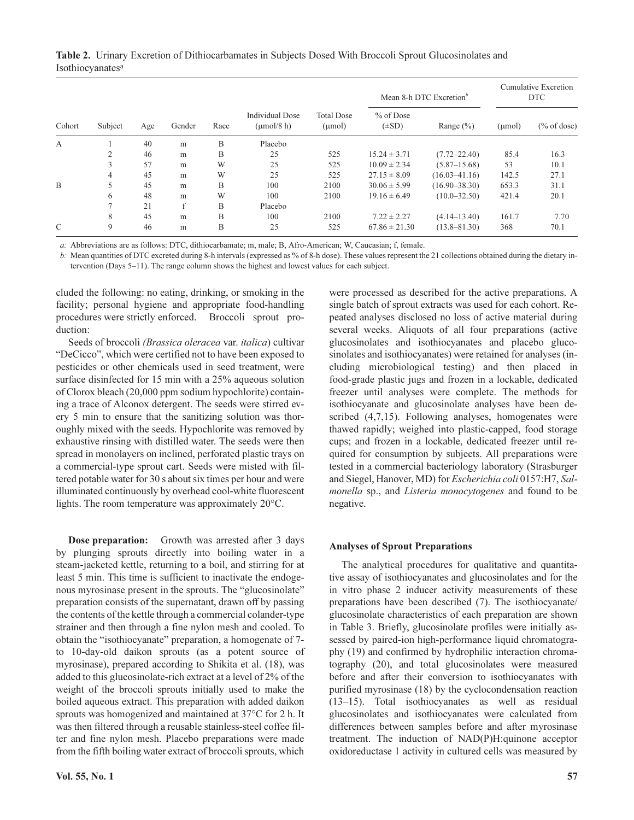Table 2. Urinary Excretion of Dithiocarbamates in Subjects Dosed With Broccoli Sprout Glucosinolates and Isothiocyanatesa

| Cohort       | Subject | Age | Gender | Race | <b>Individual Dose</b><br>$\mu$ mol/8 h) | <b>Total Dose</b><br>$(\mu mol)$ |                           | Mean 8-h DTC Excretion <sup>o</sup> | Cumulative Excretion<br>DTC |                |
|--------------|---------|-----|--------|------|------------------------------------------|----------------------------------|---------------------------|-------------------------------------|-----------------------------|----------------|
|              |         |     |        |      |                                          |                                  | $%$ of Dose<br>$(\pm SD)$ | Range $(\% )$                       | $(\mu mol)$                 | $(\%$ of dose) |
| $\mathbf{A}$ |         | 40  | m      | B    | Placebo                                  |                                  |                           |                                     |                             |                |
|              |         | 46  | m      | B    | 25                                       | 525                              | $15.24 \pm 3.71$          | $(7.72 - 22.40)$                    | 85.4                        | 16.3           |
|              | 3       | 57  | m      | W    | 25                                       | 525                              | $10.09 \pm 2.34$          | $(5.87 - 15.68)$                    | 53                          | 10.1           |
|              | 4       | 45  | m      | W    | 25                                       | 525                              | $27.15 \pm 8.09$          | $(16.03 - 41.16)$                   | 142.5                       | 27.1           |
| B            |         | 45  | m      | B    | 100                                      | 2100                             | $30.06 \pm 5.99$          | $(16.90 - 38.30)$                   | 653.3                       | 31.1           |
|              | 6       | 48  | m      | W    | 100                                      | 2100                             | $19.16 \pm 6.49$          | $(10.0 - 32.50)$                    | 421.4                       | 20.1           |
|              |         | 21  | f      | B    | Placebo                                  |                                  |                           |                                     |                             |                |
|              | 8       | 45  | m      | B    | 100                                      | 2100                             | $7.22 \pm 2.27$           | $(4.14 - 13.40)$                    | 161.7                       | 7.70           |
| C            | 9       | 46  | m      | B    | 25                                       | 525                              | $67.86 \pm 21.30$         | $(13.8 - 81.30)$                    | 368                         | 70.1           |

a: Abbreviations are as follows: DTC, dithiocarbamate; m, male; B, Afro-American; W, Caucasian; f, female.

b: Mean quantities of DTC excreted during 8-h intervals (expressed as % of 8-h dose). These values represent the 21 collections obtained during the dietary intervention (Days 5–11). The range column shows the highest and lowest values for each subject.

cluded the following: no eating, drinking, or smoking in the facility; personal hygiene and appropriate food-handling procedures were strictly enforced. Broccoli sprout production:

Seeds of broccoli (Brassica oleracea var. italica) cultivar "DeCicco", which were certified not to have been exposed to pesticides or other chemicals used in seed treatment, were surface disinfected for 15 min with a 25% aqueous solution of Clorox bleach (20,000 ppm sodium hypochlorite) containing a trace of Alconox detergent. The seeds were stirred every 5 min to ensure that the sanitizing solution was thoroughly mixed with the seeds. Hypochlorite was removed by exhaustive rinsing with distilled water. The seeds were then spread in monolayers on inclined, perforated plastic trays on a commercial-type sprout cart. Seeds were misted with filtered potable water for 30 s about six times per hour and were illuminated continuously by overhead cool-white fluorescent lights. The room temperature was approximately 20°C.

Dose preparation: Growth was arrested after 3 days by plunging sprouts directly into boiling water in a steam-jacketed kettle, returning to a boil, and stirring for at least 5 min. This time is sufficient to inactivate the endogenous myrosinase present in the sprouts. The "glucosinolate" preparation consists of the supernatant, drawn off by passing the contents of the kettle through a commercial colander-type strainer and then through a fine nylon mesh and cooled. To obtain the "isothiocyanate" preparation, a homogenate of 7 to 10-day-old daikon sprouts (as a potent source of myrosinase), prepared according to Shikita et al. (18), was added to this glucosinolate-rich extract at a level of 2% of the weight of the broccoli sprouts initially used to make the boiled aqueous extract. This preparation with added daikon sprouts was homogenized and maintained at 37°C for 2 h. It was then filtered through a reusable stainless-steel coffee filter and fine nylon mesh. Placebo preparations were made from the fifth boiling water extract of broccoli sprouts, which

were processed as described for the active preparations. A single batch of sprout extracts was used for each cohort. Repeated analyses disclosed no loss of active material during several weeks. Aliquots of all four preparations (active glucosinolates and isothiocyanates and placebo glucosinolates and isothiocyanates) were retained for analyses (including microbiological testing) and then placed in food-grade plastic jugs and frozen in a lockable, dedicated freezer until analyses were complete. The methods for isothiocyanate and glucosinolate analyses have been described (4,7,15). Following analyses, homogenates were thawed rapidly; weighed into plastic-capped, food storage cups; and frozen in a lockable, dedicated freezer until required for consumption by subjects. All preparations were tested in a commercial bacteriology laboratory (Strasburger and Siegel, Hanover, MD) for Escherichia coli 0157:H7, Salmonella sp., and Listeria monocytogenes and found to be negative.

### Analyses of Sprout Preparations

The analytical procedures for qualitative and quantitative assay of isothiocyanates and glucosinolates and for the in vitro phase 2 inducer activity measurements of these preparations have been described (7). The isothiocyanate/ glucosinolate characteristics of each preparation are shown in Table 3. Briefly, glucosinolate profiles were initially assessed by paired-ion high-performance liquid chromatography (19) and confirmed by hydrophilic interaction chromatography (20), and total glucosinolates were measured before and after their conversion to isothiocyanates with purified myrosinase (18) by the cyclocondensation reaction (13–15). Total isothiocyanates as well as residual glucosinolates and isothiocyanates were calculated from differences between samples before and after myrosinase treatment. The induction of NAD(P)H:quinone acceptor oxidoreductase 1 activity in cultured cells was measured by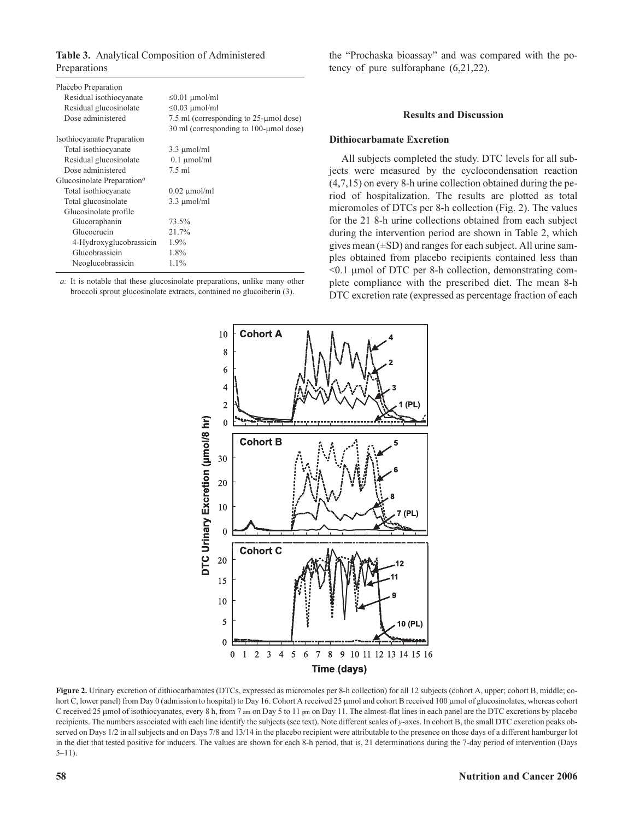Table 3. Analytical Composition of Administered Preparations

| Placebo Preparation                                 |                                           |  |  |  |  |
|-----------------------------------------------------|-------------------------------------------|--|--|--|--|
| Residual isothiocyanate                             | $\leq 0.01$ µmol/ml                       |  |  |  |  |
| Residual glucosinolate                              | $\leq$ 0.03 µmol/ml                       |  |  |  |  |
| Dose administered                                   | 7.5 ml (corresponding to 25-umol dose)    |  |  |  |  |
|                                                     | 30 ml (corresponding to $100$ -µmol dose) |  |  |  |  |
| Isothiocyanate Preparation                          |                                           |  |  |  |  |
| Total isothiocyanate                                | $3.3 \mu$ mol/ml                          |  |  |  |  |
| Residual glucosinolate                              | $0.1 \mu$ mol/ml                          |  |  |  |  |
| Dose administered                                   | $7.5$ ml                                  |  |  |  |  |
| Glucosinolate Preparation <sup><math>a</math></sup> |                                           |  |  |  |  |
| Total isothiocyanate                                | $0.02 \mu$ mol/ml                         |  |  |  |  |
| Total glucosinolate                                 | $3.3 \mu$ mol/ml                          |  |  |  |  |
| Glucosinolate profile                               |                                           |  |  |  |  |
| Glucoraphanin                                       | 73.5%                                     |  |  |  |  |
| Glucoerucin                                         | 21.7%                                     |  |  |  |  |
| 4-Hydroxyglucobrassicin                             | $1.9\%$                                   |  |  |  |  |
| Glucobrassicin                                      | 1.8%                                      |  |  |  |  |
| Neoglucobrassicin                                   | $1.1\%$                                   |  |  |  |  |

a: It is notable that these glucosinolate preparations, unlike many other broccoli sprout glucosinolate extracts, contained no glucoiberin (3).

the "Prochaska bioassay" and was compared with the potency of pure sulforaphane (6,21,22).

### Results and Discussion

### Dithiocarbamate Excretion

All subjects completed the study. DTC levels for all subjects were measured by the cyclocondensation reaction (4,7,15) on every 8-h urine collection obtained during the period of hospitalization. The results are plotted as total micromoles of DTCs per 8-h collection (Fig. 2). The values for the 21 8-h urine collections obtained from each subject during the intervention period are shown in Table 2, which gives mean  $(\pm SD)$  and ranges for each subject. All urine samples obtained from placebo recipients contained less than  $\leq 0.1$  umol of DTC per 8-h collection, demonstrating complete compliance with the prescribed diet. The mean 8-h DTC excretion rate (expressed as percentage fraction of each



Figure 2. Urinary excretion of dithiocarbamates (DTCs, expressed as micromoles per 8-h collection) for all 12 subjects (cohort A, upper; cohort B, middle; cohort C, lower panel) from Day 0 (admission to hospital) to Day 16. Cohort A received 25 µmol and cohort B received 100 µmol of glucosinolates, whereas cohort C received 25 µmol of isothiocyanates, every 8 h, from 7 am on Day 5 to 11 pm on Day 11. The almost-flat lines in each panel are the DTC excretions by placebo recipients. The numbers associated with each line identify the subjects (see text). Note different scales of  $y$ -axes. In cohort B, the small DTC excretion peaks observed on Days 1/2 in all subjects and on Days 7/8 and 13/14 in the placebo recipient were attributable to the presence on those days of a different hamburger lot in the diet that tested positive for inducers. The values are shown for each 8-h period, that is, 21 determinations during the 7-day period of intervention (Days  $5-11$ ).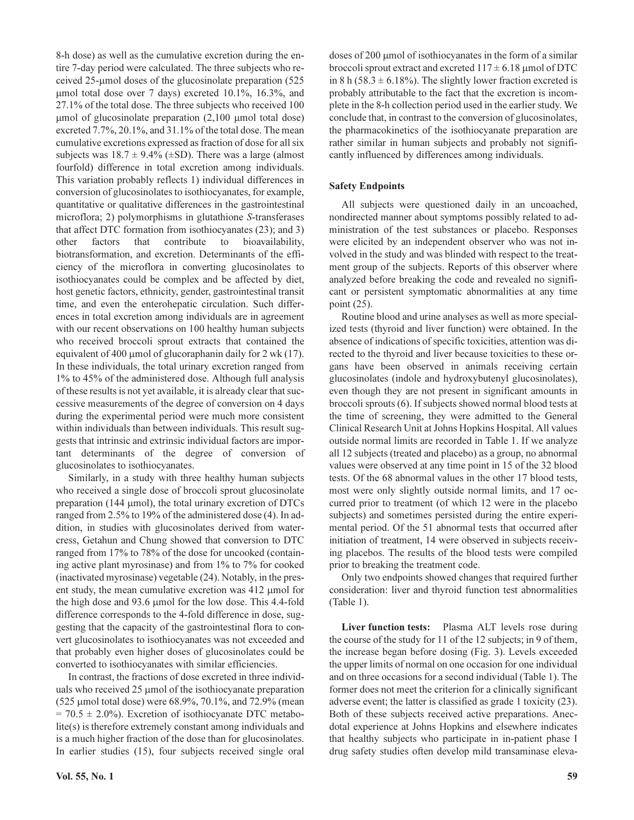8-h dose) as well as the cumulative excretion during the entire 7-day period were calculated. The three subjects who received 25-µmol doses of the glucosinolate preparation (525 µmol total dose over 7 days) excreted 10.1%, 16.3%, and 27.1% of the total dose. The three subjects who received 100  $\mu$ mol of glucosinolate preparation (2,100  $\mu$ mol total dose) excreted 7.7%, 20.1%, and 31.1% of the total dose. The mean cumulative excretions expressed as fraction of dose for all six subjects was  $18.7 \pm 9.4\%$  ( $\pm$ SD). There was a large (almost fourfold) difference in total excretion among individuals. This variation probably reflects 1) individual differences in conversion of glucosinolates to isothiocyanates, for example, quantitative or qualitative differences in the gastrointestinal microflora; 2) polymorphisms in glutathione S-transferases that affect DTC formation from isothiocyanates (23); and 3) other factors that contribute to bioavailability, biotransformation, and excretion. Determinants of the efficiency of the microflora in converting glucosinolates to isothiocyanates could be complex and be affected by diet, host genetic factors, ethnicity, gender, gastrointestinal transit time, and even the enterohepatic circulation. Such differences in total excretion among individuals are in agreement with our recent observations on 100 healthy human subjects who received broccoli sprout extracts that contained the equivalent of 400  $\mu$ mol of glucoraphanin daily for 2 wk (17). In these individuals, the total urinary excretion ranged from 1% to 45% of the administered dose. Although full analysis of these results is not yet available, it is already clear that successive measurements of the degree of conversion on 4 days during the experimental period were much more consistent within individuals than between individuals. This result suggests that intrinsic and extrinsic individual factors are important determinants of the degree of conversion of glucosinolates to isothiocyanates.

Similarly, in a study with three healthy human subjects who received a single dose of broccoli sprout glucosinolate preparation (144 µmol), the total urinary excretion of DTCs ranged from 2.5% to 19% of the administered dose (4). In addition, in studies with glucosinolates derived from watercress, Getahun and Chung showed that conversion to DTC ranged from 17% to 78% of the dose for uncooked (containing active plant myrosinase) and from 1% to 7% for cooked (inactivated myrosinase) vegetable (24). Notably, in the present study, the mean cumulative excretion was 412 µmol for the high dose and 93.6 µmol for the low dose. This 4.4-fold difference corresponds to the 4-fold difference in dose, suggesting that the capacity of the gastrointestinal flora to convert glucosinolates to isothiocyanates was not exceeded and that probably even higher doses of glucosinolates could be converted to isothiocyanates with similar efficiencies.

In contrast, the fractions of dose excreted in three individuals who received 25 µmol of the isothiocyanate preparation (525 µmol total dose) were 68.9%, 70.1%, and 72.9% (mean  $= 70.5 \pm 2.0\%$ ). Excretion of isothiocyanate DTC metabolite(s) is therefore extremely constant among individuals and is a much higher fraction of the dose than for glucosinolates. In earlier studies (15), four subjects received single oral

doses of 200 µmol of isothiocyanates in the form of a similar broccoli sprout extract and excreted  $117 \pm 6.18$  µmol of DTC in 8 h (58.3  $\pm$  6.18%). The slightly lower fraction excreted is probably attributable to the fact that the excretion is incomplete in the 8-h collection period used in the earlier study. We conclude that, in contrast to the conversion of glucosinolates, the pharmacokinetics of the isothiocyanate preparation are rather similar in human subjects and probably not significantly influenced by differences among individuals.

### Safety Endpoints

All subjects were questioned daily in an uncoached, nondirected manner about symptoms possibly related to administration of the test substances or placebo. Responses were elicited by an independent observer who was not involved in the study and was blinded with respect to the treatment group of the subjects. Reports of this observer where analyzed before breaking the code and revealed no significant or persistent symptomatic abnormalities at any time point (25).

Routine blood and urine analyses as well as more specialized tests (thyroid and liver function) were obtained. In the absence of indications of specific toxicities, attention was directed to the thyroid and liver because toxicities to these organs have been observed in animals receiving certain glucosinolates (indole and hydroxybutenyl glucosinolates), even though they are not present in significant amounts in broccoli sprouts (6). If subjects showed normal blood tests at the time of screening, they were admitted to the General Clinical Research Unit at Johns Hopkins Hospital. All values outside normal limits are recorded in Table 1. If we analyze all 12 subjects (treated and placebo) as a group, no abnormal values were observed at any time point in 15 of the 32 blood tests. Of the 68 abnormal values in the other 17 blood tests, most were only slightly outside normal limits, and 17 occurred prior to treatment (of which 12 were in the placebo subjects) and sometimes persisted during the entire experimental period. Of the 51 abnormal tests that occurred after initiation of treatment, 14 were observed in subjects receiving placebos. The results of the blood tests were compiled prior to breaking the treatment code.

Only two endpoints showed changes that required further consideration: liver and thyroid function test abnormalities (Table 1).

Liver function tests: Plasma ALT levels rose during the course of the study for 11 of the 12 subjects; in 9 of them, the increase began before dosing (Fig. 3). Levels exceeded the upper limits of normal on one occasion for one individual and on three occasions for a second individual (Table 1). The former does not meet the criterion for a clinically significant adverse event; the latter is classified as grade 1 toxicity (23). Both of these subjects received active preparations. Anecdotal experience at Johns Hopkins and elsewhere indicates that healthy subjects who participate in in-patient phase I drug safety studies often develop mild transaminase eleva-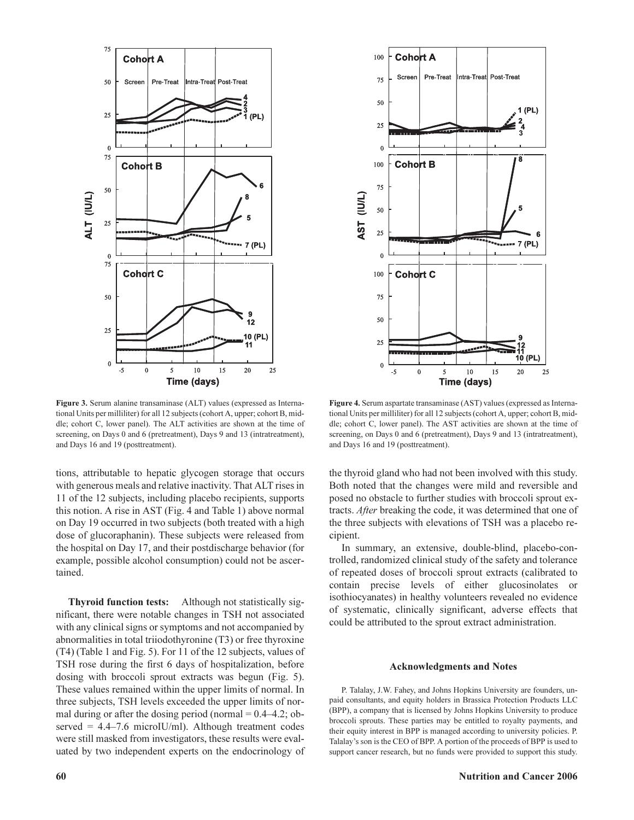

Figure 3. Serum alanine transaminase (ALT) values (expressed as International Units per milliliter) for all 12 subjects (cohort A, upper; cohort B, middle; cohort C, lower panel). The ALT activities are shown at the time of screening, on Days 0 and 6 (pretreatment), Days 9 and 13 (intratreatment), and Days 16 and 19 (posttreatment).

tions, attributable to hepatic glycogen storage that occurs with generous meals and relative inactivity. That ALT rises in 11 of the 12 subjects, including placebo recipients, supports this notion. A rise in AST (Fig. 4 and Table 1) above normal on Day 19 occurred in two subjects (both treated with a high dose of glucoraphanin). These subjects were released from the hospital on Day 17, and their postdischarge behavior (for example, possible alcohol consumption) could not be ascertained.

Thyroid function tests: Although not statistically significant, there were notable changes in TSH not associated with any clinical signs or symptoms and not accompanied by abnormalities in total triiodothyronine (T3) or free thyroxine (T4) (Table 1 and Fig. 5). For 11 of the 12 subjects, values of TSH rose during the first 6 days of hospitalization, before dosing with broccoli sprout extracts was begun (Fig. 5). These values remained within the upper limits of normal. In three subjects, TSH levels exceeded the upper limits of normal during or after the dosing period (normal  $= 0.4 - 4.2$ ; observed =  $4.4-7.6$  microIU/ml). Although treatment codes were still masked from investigators, these results were evaluated by two independent experts on the endocrinology of



Figure 4. Serum aspartate transaminase (AST) values (expressed as International Units per milliliter) for all 12 subjects (cohort A, upper; cohort B, middle; cohort C, lower panel). The AST activities are shown at the time of screening, on Days 0 and 6 (pretreatment), Days 9 and 13 (intratreatment), and Days 16 and 19 (posttreatment).

the thyroid gland who had not been involved with this study. Both noted that the changes were mild and reversible and posed no obstacle to further studies with broccoli sprout extracts. After breaking the code, it was determined that one of the three subjects with elevations of TSH was a placebo recipient.

In summary, an extensive, double-blind, placebo-controlled, randomized clinical study of the safety and tolerance of repeated doses of broccoli sprout extracts (calibrated to contain precise levels of either glucosinolates or isothiocyanates) in healthy volunteers revealed no evidence of systematic, clinically significant, adverse effects that could be attributed to the sprout extract administration.

### Acknowledgments and Notes

P. Talalay, J.W. Fahey, and Johns Hopkins University are founders, unpaid consultants, and equity holders in Brassica Protection Products LLC (BPP), a company that is licensed by Johns Hopkins University to produce broccoli sprouts. These parties may be entitled to royalty payments, and their equity interest in BPP is managed according to university policies. P. Talalay's son is the CEO of BPP. A portion of the proceeds of BPP is used to support cancer research, but no funds were provided to support this study.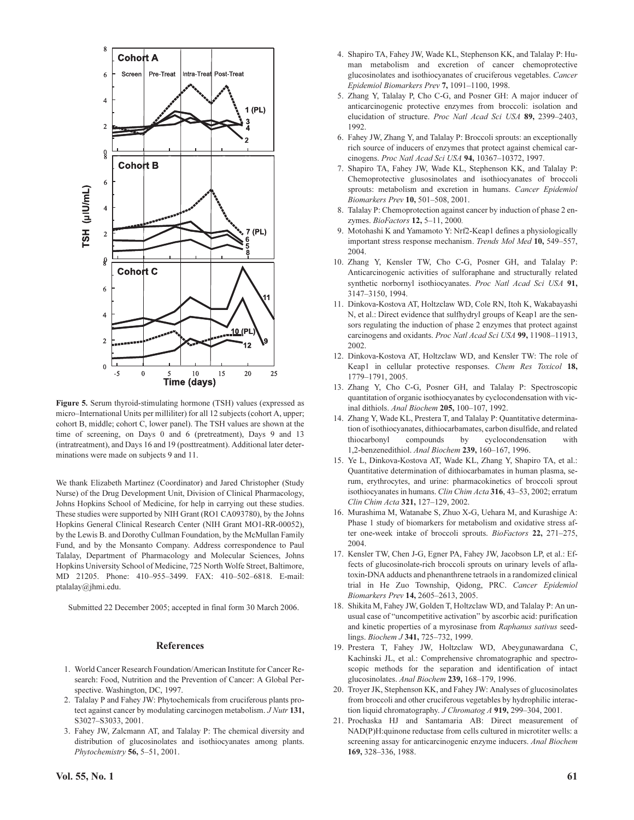

Figure 5. Serum thyroid-stimulating hormone (TSH) values (expressed as micro–International Units per milliliter) for all 12 subjects (cohort A, upper; cohort B, middle; cohort C, lower panel). The TSH values are shown at the time of screening, on Days 0 and 6 (pretreatment), Days 9 and 13 (intratreatment), and Days 16 and 19 (posttreatment). Additional later determinations were made on subjects 9 and 11.

We thank Elizabeth Martinez (Coordinator) and Jared Christopher (Study Nurse) of the Drug Development Unit, Division of Clinical Pharmacology, Johns Hopkins School of Medicine, for help in carrying out these studies. These studies were supported by NIH Grant (RO1 CA093780), by the Johns Hopkins General Clinical Research Center (NIH Grant MO1-RR-00052), by the Lewis B. and Dorothy Cullman Foundation, by the McMullan Family Fund, and by the Monsanto Company. Address correspondence to Paul Talalay, Department of Pharmacology and Molecular Sciences, Johns Hopkins University School of Medicine, 725 North Wolfe Street, Baltimore, MD 21205. Phone: 410–955–3499. FAX: 410–502–6818. E-mail: ptalalay@jhmi.edu.

Submitted 22 December 2005; accepted in final form 30 March 2006.

### References

- 1. World Cancer Research Foundation/American Institute for Cancer Research: Food, Nutrition and the Prevention of Cancer: A Global Perspective. Washington, DC, 1997.
- 2. Talalay P and Fahey JW: Phytochemicals from cruciferous plants protect against cancer by modulating carcinogen metabolism. J Nutr 131, S3027–S3033, 2001.
- 3. Fahey JW, Zalcmann AT, and Talalay P: The chemical diversity and distribution of glucosinolates and isothiocyanates among plants. Phytochemistry 56, 5-51, 2001.
- 4. Shapiro TA, Fahey JW, Wade KL, Stephenson KK, and Talalay P: Human metabolism and excretion of cancer chemoprotective glucosinolates and isothiocyanates of cruciferous vegetables. Cancer Epidemiol Biomarkers Prev 7, 1091–1100, 1998.
- 5. Zhang Y, Talalay P, Cho C-G, and Posner GH: A major inducer of anticarcinogenic protective enzymes from broccoli: isolation and elucidation of structure. Proc Natl Acad Sci USA 89, 2399–2403, 1992.
- 6. Fahey JW, Zhang Y, and Talalay P: Broccoli sprouts: an exceptionally rich source of inducers of enzymes that protect against chemical carcinogens. Proc Natl Acad Sci USA 94, 10367-10372, 1997.
- 7. Shapiro TA, Fahey JW, Wade KL, Stephenson KK, and Talalay P: Chemoprotective glusosinolates and isothiocyanates of broccoli sprouts: metabolism and excretion in humans. Cancer Epidemiol Biomarkers Prev 10, 501–508, 2001.
- 8. Talalay P: Chemoprotection against cancer by induction of phase 2 enzymes. BioFactors 12, 5–11, 2000.
- 9. Motohashi K and Yamamoto Y: Nrf2-Keap1 defines a physiologically important stress response mechanism. Trends Mol Med 10, 549–557, 2004.
- 10. Zhang Y, Kensler TW, Cho C-G, Posner GH, and Talalay P: Anticarcinogenic activities of sulforaphane and structurally related synthetic norbornyl isothiocyanates. Proc Natl Acad Sci USA 91, 3147–3150, 1994.
- 11. Dinkova-Kostova AT, Holtzclaw WD, Cole RN, Itoh K, Wakabayashi N, et al.: Direct evidence that sulfhydryl groups of Keap1 are the sensors regulating the induction of phase 2 enzymes that protect against carcinogens and oxidants. Proc Natl Acad Sci USA 99, 11908–11913, 2002.
- 12. Dinkova-Kostova AT, Holtzclaw WD, and Kensler TW: The role of Keap1 in cellular protective responses. Chem Res Toxicol 18, 1779–1791, 2005.
- 13. Zhang Y, Cho C-G, Posner GH, and Talalay P: Spectroscopic quantitation of organic isothiocyanates by cyclocondensation with vicinal dithiols. Anal Biochem 205, 100–107, 1992.
- 14. Zhang Y, Wade KL, Prestera T, and Talalay P: Quantitative determination of isothiocyanates, dithiocarbamates, carbon disulfide, and related thiocarbonyl compounds by cyclocondensation with 1,2-benzenedithiol. Anal Biochem 239, 160–167, 1996.
- 15. Ye L, Dinkova-Kostova AT, Wade KL, Zhang Y, Shapiro TA, et al.: Quantitative determination of dithiocarbamates in human plasma, serum, erythrocytes, and urine: pharmacokinetics of broccoli sprout isothiocyanates in humans. Clin Chim Acta 316, 43-53, 2002; erratum Clin Chim Acta 321, 127–129, 2002.
- 16. Murashima M, Watanabe S, Zhuo X-G, Uehara M, and Kurashige A: Phase 1 study of biomarkers for metabolism and oxidative stress after one-week intake of broccoli sprouts. BioFactors 22, 271–275, 2004.
- 17. Kensler TW, Chen J-G, Egner PA, Fahey JW, Jacobson LP, et al.: Effects of glucosinolate-rich broccoli sprouts on urinary levels of aflatoxin-DNA adducts and phenanthrene tetraols in a randomized clinical trial in He Zuo Township, Qidong, PRC. Cancer Epidemiol Biomarkers Prev 14, 2605–2613, 2005.
- 18. Shikita M, Fahey JW, Golden T, Holtzclaw WD, and Talalay P: An unusual case of "uncompetitive activation" by ascorbic acid: purification and kinetic properties of a myrosinase from Raphanus sativus seedlings. Biochem J 341, 725-732, 1999.
- 19. Prestera T, Fahey JW, Holtzclaw WD, Abeygunawardana C, Kachinski JL, et al.: Comprehensive chromatographic and spectroscopic methods for the separation and identification of intact glucosinolates. Anal Biochem 239, 168–179, 1996.
- 20. Troyer JK, Stephenson KK, and Fahey JW: Analyses of glucosinolates from broccoli and other cruciferous vegetables by hydrophilic interaction liquid chromatography. J Chromatog A 919, 299-304, 2001.
- 21. Prochaska HJ and Santamaria AB: Direct measurement of NAD(P)H:quinone reductase from cells cultured in microtiter wells: a screening assay for anticarcinogenic enzyme inducers. Anal Biochem 169, 328–336, 1988.